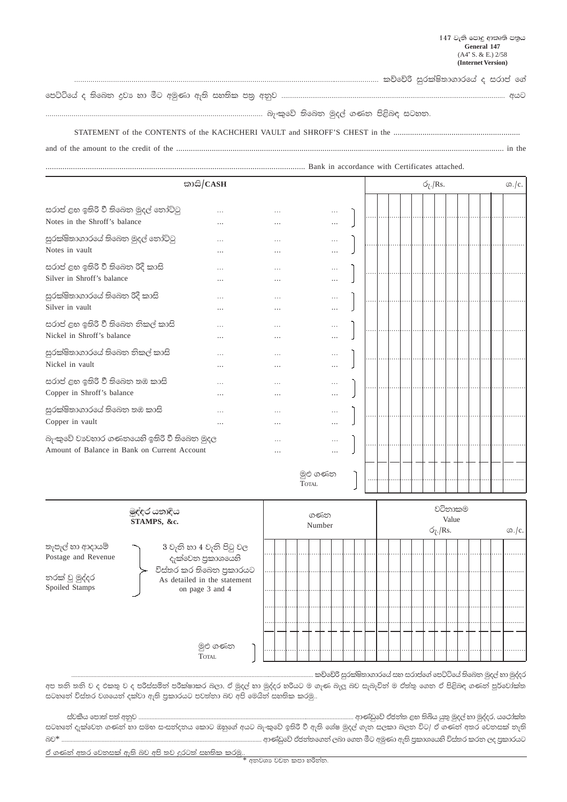## 

## 

## 

## 

| තාසි/CASH                                                       |          |          |                          | $\sigma$ <sub>7</sub> ./Rs.<br>$\omega$ ./c. |  |  |  |  |  |  |  |  |  |  |  |
|-----------------------------------------------------------------|----------|----------|--------------------------|----------------------------------------------|--|--|--|--|--|--|--|--|--|--|--|
|                                                                 |          |          |                          |                                              |  |  |  |  |  |  |  |  |  |  |  |
| සරාප් ළහ ඉතිරි වී තිබෙන මුදල් තෝට්ටු                            | .        | .        | $\cdots$                 |                                              |  |  |  |  |  |  |  |  |  |  |  |
| Notes in the Shroff's balance                                   | .        | .        | $\cdots$                 |                                              |  |  |  |  |  |  |  |  |  |  |  |
| සුරක්ෂිතාගාරයේ තිබෙන මුදල් තෝට්ටු                               | .        |          | $\cdots$                 |                                              |  |  |  |  |  |  |  |  |  |  |  |
| Notes in vault                                                  |          |          |                          |                                              |  |  |  |  |  |  |  |  |  |  |  |
| සරාප් ළහ ඉතිරි වී තිබෙන රිදී කාසි<br>Silver in Shroff's balance | .        | $\cdots$ | $\cdots$                 |                                              |  |  |  |  |  |  |  |  |  |  |  |
|                                                                 | .        | .        | $\cdots$                 |                                              |  |  |  |  |  |  |  |  |  |  |  |
| සුරක්ෂිතාගාරයේ තිබෙන රිදී කාසි                                  | .        | $\cdots$ | $\cdots$                 |                                              |  |  |  |  |  |  |  |  |  |  |  |
| Silver in vault                                                 | .        | .        | $\cdots$                 |                                              |  |  |  |  |  |  |  |  |  |  |  |
| සරාප් ළහ ඉතිරි වී තිබෙන නිකල් කාසි                              | .        | .        | $\cdots$                 |                                              |  |  |  |  |  |  |  |  |  |  |  |
| Nickel in Shroff's balance                                      | .        | .        | $\cdots$                 |                                              |  |  |  |  |  |  |  |  |  |  |  |
| සුරක්ෂිතාගාරයේ තිබෙන නිකල් කාසි                                 | $\cdots$ | $\cdots$ | $\cdots$                 |                                              |  |  |  |  |  |  |  |  |  |  |  |
| Nickel in vault                                                 | .        | .        | .                        |                                              |  |  |  |  |  |  |  |  |  |  |  |
| සරාප් ළහ ඉතිරි වී තිබෙත තඹ කාසි                                 | .        | $\cdots$ | $\cdots$                 |                                              |  |  |  |  |  |  |  |  |  |  |  |
| Copper in Shroff's balance                                      | .        | .        | .                        |                                              |  |  |  |  |  |  |  |  |  |  |  |
| සුරක්ෂිතාගාරයේ තිබෙන තඹ කාසි                                    | .        | .        | $\cdots$                 |                                              |  |  |  |  |  |  |  |  |  |  |  |
| Copper in vault                                                 | .        | $\cdots$ | .                        |                                              |  |  |  |  |  |  |  |  |  |  |  |
| බැංකුවේ වාාවහාර ගණනයෙහි ඉතිරි වී තිබෙන මුදල                     |          | $\cdots$ | $\cdots$                 |                                              |  |  |  |  |  |  |  |  |  |  |  |
| Amount of Balance in Bank on Current Account                    |          | .        |                          |                                              |  |  |  |  |  |  |  |  |  |  |  |
|                                                                 |          |          | මූළු ගණන<br><b>TOTAL</b> |                                              |  |  |  |  |  |  |  |  |  |  |  |

| මුද්දර යතාදිය<br>STAMPS, &c.                                                |                                                                                                                             |  | ගණන<br>Number |  |  |  |  |  | වටිනාකම<br>Value<br>$\sigma$ <sub>7</sub> ./Rs. |  |  |  |  |  |  |  |  | $\Omega$ ./c. |  |
|-----------------------------------------------------------------------------|-----------------------------------------------------------------------------------------------------------------------------|--|---------------|--|--|--|--|--|-------------------------------------------------|--|--|--|--|--|--|--|--|---------------|--|
| තැපැල් හා ආදායම්<br>Postage and Revenue<br>නරක් වූ මුද්දර<br>Spoiled Stamps | 3 වැනි හා 4 වැනි පිටු වල<br>දැක්වෙන පුකාශයෙහි<br>විස්තර කර තිබෙන පුකාරයට<br>As detailed in the statement<br>on page 3 and 4 |  |               |  |  |  |  |  |                                                 |  |  |  |  |  |  |  |  |               |  |
|                                                                             | මුළු ගණන<br><b>TOTAL</b>                                                                                                    |  |               |  |  |  |  |  |                                                 |  |  |  |  |  |  |  |  |               |  |

කච්චේරි සුරක්ෂිතාගාරයේ සහ සරාප්ගේ පෙට්ටියේ තිබෙන මුදල් හා මුද්දර

අප තනි තනි ව ද එකතු ව ද පරිස්සමින් පරීක්ෂාකර බලා, ඒ මුදල් හා මුද්දර හරියට ම ගැණ බැලූ බව සැබැවින් ම ඒත්තු ගෙන ඒ පිළිබඳ ගණන් පූර්වෝක්ත .<br>සටහනේ විස්තර වශයෙන් දක්වා ඇති පුකාරයට පවත්තා බව අපි මෙයින් සහතික කරමු..

ස්වකීය පොත් පත් අනුව ............................ ............. ආණ්ඩුවේ ඒජන්ත ළහ තිබිය යුතු මුදල් හා මුද්දර, යථෝක්ත .<br>සටහනේ දැක්වෙත ගණන් හා සමහ සංසන්දනය කොට ඔහුගේ අයට බැංකුවේ ඉතිරි වී ඇති ශේෂ මුදල් ගැන සලකා බලත විට/ ඒ ගණන් අතර වෙතසක් තැති බව\* .............. ආණ්ඩුවේ ඒජන්තගෙන් ලබා ගෙන මීට අමුණා ඇති පුකාශයෙහි විස්තර කරන ලද පුකාරයට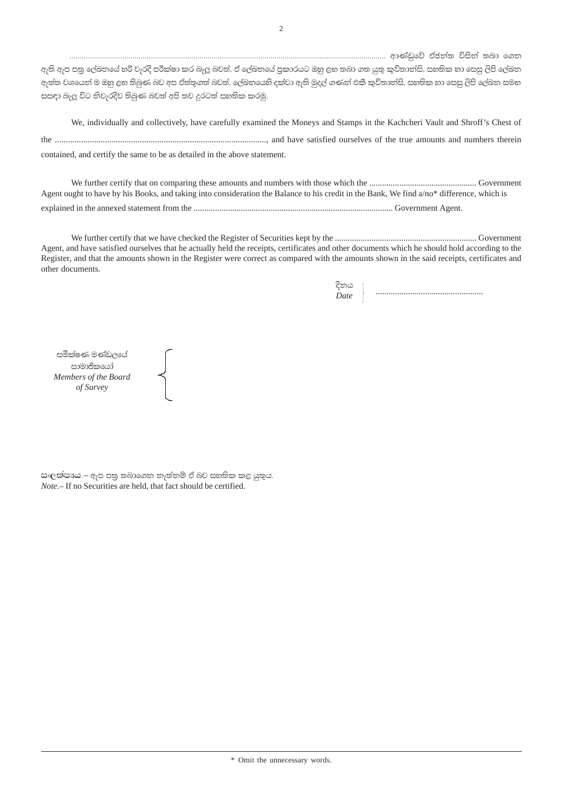ඇති ඇප පතු ලේඛතයේ හරි වැරදි පරීක්ෂා කර බැලූ බවත්, ඒ ලේඛතයේ පුකාරයට ඔහු ළහ තබා ගත යුතු කුවිතාත්සි, සහතික හා සෙසු ලිපි ලේඛත ඇත්ත වශයෙන් ම ඔහු ළහ තිබුණ බව අප ඒත්තුගත් බවත්, ලේඛනයෙහි දක්වා ඇති මුදල් ගණන් එකී කුවිතාන්සි, සහතික හා සෙසු ලිපි ලේඛන සමභ සසඳා බැලූ විට නිවැරදිව තිබුණ බවත් අපි තව දුරටත් සහතික කරමු.

We, individually and collectively, have carefully examined the Moneys and Stamps in the Kachcheri Vault and Shroff's Chest of contained, and certify the same to be as detailed in the above statement.

Agent ought to have by his Books, and taking into consideration the Balance to his credit in the Bank, We find a/no\* difference, which is 

Agent, and have satisfied ourselves that he actually held the receipts, certificates and other documents which he should hold according to the Register, and that the amounts shown in the Register were correct as compared with the amounts shown in the said receipts, certificates and other documents.

සමීක්ෂණ මණ්ඩලයේ සාමාජිකයෝ Members of the Board of Survey

සංලක්ෂාඃය – ඇප පතු තබාගෙන තැත්තම් ඒ බව සහතික කළ යුතුය. *Note*.-If no Securities are held, that fact should be certified.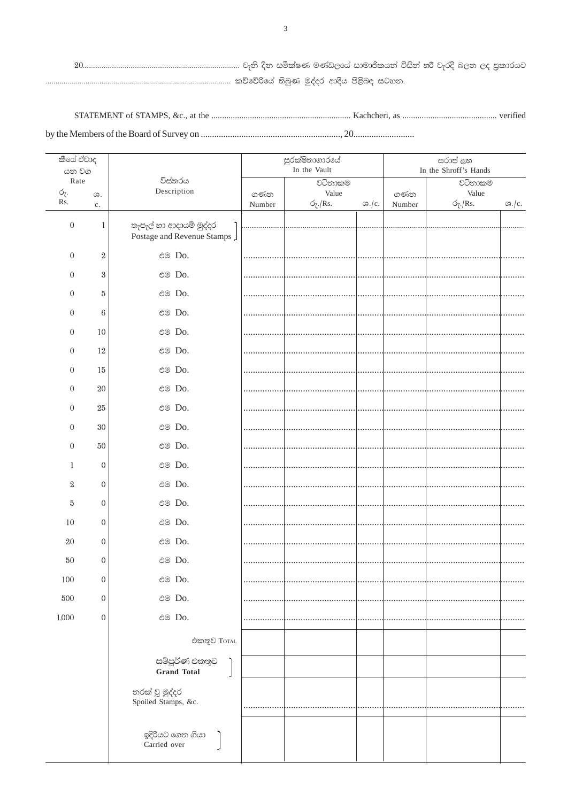| කීයේ ඒවාද<br>යන වග |                  |                                       |        | සුරක්ෂිතාගාරයේ<br>In the Vault | සරාප් ළභ<br>In the Shroff's Hands |        |                             |               |  |  |  |
|--------------------|------------------|---------------------------------------|--------|--------------------------------|-----------------------------------|--------|-----------------------------|---------------|--|--|--|
| Rate               |                  | විස්තරය                               |        | වටිනාකම                        |                                   |        | වටිනාකම                     |               |  |  |  |
| ó <sub>ζ</sub> .   | $G$ .            | Description                           | ගණන    | Value                          |                                   | ගණන    | Value                       |               |  |  |  |
| Rs.                | c.               |                                       | Number | $\sigma$ <sub>7</sub> ./Rs.    | $\omega$ ./c.                     | Number | $\sigma$ <sub>7</sub> ./Rs. | $\omega$ ./c. |  |  |  |
| $\boldsymbol{0}$   | $\mathbf{1}$     | තැපැල් හා ආදායම් මුද්දර               |        |                                |                                   |        |                             |               |  |  |  |
|                    |                  | Postage and Revenue Stamps            |        |                                |                                   |        |                             |               |  |  |  |
| $\boldsymbol{0}$   | $\boldsymbol{2}$ | එම Do.                                |        |                                |                                   |        |                             |               |  |  |  |
| 0                  | $\boldsymbol{3}$ | එම Do.                                |        |                                |                                   |        |                             |               |  |  |  |
| $\boldsymbol{0}$   | 5                | එම Do.                                |        |                                |                                   |        |                             |               |  |  |  |
| $\boldsymbol{0}$   | $6\phantom{.0}$  | එම Do.                                |        |                                |                                   |        |                             |               |  |  |  |
| $\boldsymbol{0}$   | 10               | එම Do.                                |        |                                |                                   |        |                             |               |  |  |  |
| $\boldsymbol{0}$   | 12               | එම Do.                                |        |                                |                                   |        |                             |               |  |  |  |
| $\boldsymbol{0}$   | 15               | එම Do.                                |        |                                |                                   |        |                             |               |  |  |  |
| $\boldsymbol{0}$   | 20               | එම Do.                                |        |                                |                                   |        |                             |               |  |  |  |
| $\boldsymbol{0}$   | $25\,$           | එම Do.                                |        |                                |                                   |        |                             |               |  |  |  |
| $\boldsymbol{0}$   | 30               | එම Do.                                |        |                                |                                   |        |                             |               |  |  |  |
| $\boldsymbol{0}$   | 50               | එම Do.                                |        |                                |                                   |        |                             |               |  |  |  |
| 1                  | $\boldsymbol{0}$ | එම Do.                                |        |                                |                                   |        |                             |               |  |  |  |
| $\boldsymbol{2}$   | $\boldsymbol{0}$ | එම Do.                                |        |                                |                                   |        |                             |               |  |  |  |
| 5                  | $\boldsymbol{0}$ | එම Do.                                |        |                                |                                   |        |                             |               |  |  |  |
| 10                 | $\boldsymbol{0}$ | එම Do.                                |        |                                |                                   |        |                             |               |  |  |  |
| 20                 | $\boldsymbol{0}$ | එම Do.                                |        |                                |                                   |        |                             |               |  |  |  |
| 50                 | $\boldsymbol{0}$ | එම Do.                                |        |                                |                                   |        |                             |               |  |  |  |
| $100\,$            | $\boldsymbol{0}$ | එම Do.                                |        |                                |                                   |        |                             |               |  |  |  |
| $500\,$            | $\boldsymbol{0}$ | එම Do.                                |        |                                |                                   |        |                             |               |  |  |  |
| 1,000              | $\boldsymbol{0}$ | එම Do.                                |        |                                |                                   |        |                             |               |  |  |  |
|                    |                  | එකතුව TorAL                           |        |                                |                                   |        |                             |               |  |  |  |
|                    |                  |                                       |        |                                |                                   |        |                             |               |  |  |  |
|                    |                  | සම්පූර්ණ එකතුව<br><b>Grand Total</b>  |        |                                |                                   |        |                             |               |  |  |  |
|                    |                  | තරක් වූ මුද්දර<br>Spoiled Stamps, &c. |        |                                |                                   |        |                             |               |  |  |  |
|                    |                  | ඉදිරියට ගෙන ගියා<br>Carried over      |        |                                |                                   |        |                             |               |  |  |  |